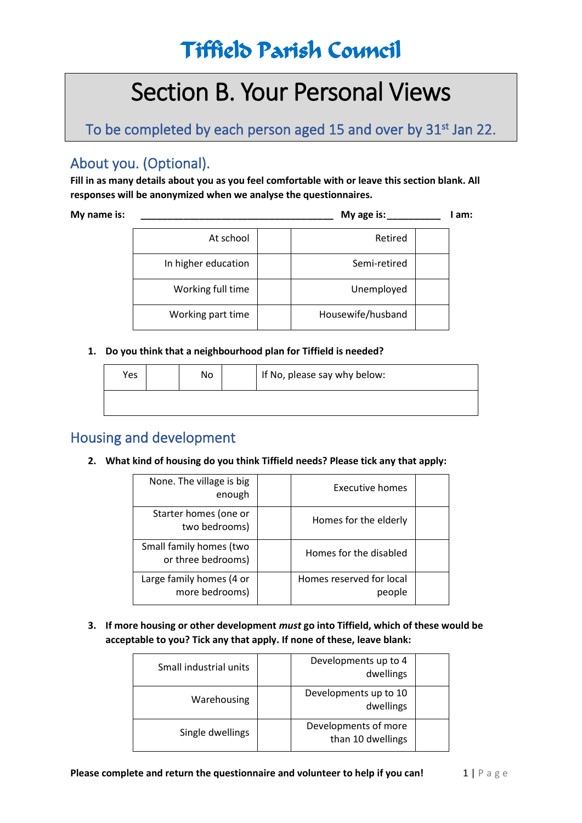# Section B. Your Personal Views

To be completed by each person aged 15 and over by 31<sup>st</sup> Jan 22.

## About you. (Optional).

**Fill in as many details about you as you feel comfortable with or leave this section blank. All responses will be anonymized when we analyse the questionnaires.**

**My name is: \_\_\_\_\_\_\_\_\_\_\_\_\_\_\_\_\_\_\_\_\_\_\_\_\_\_\_\_\_\_\_\_\_\_\_\_ My age is:\_\_\_\_\_\_\_\_\_\_ I am:** 

| Retired           | At school           |
|-------------------|---------------------|
| Semi-retired      | In higher education |
| Unemployed        | Working full time   |
| Housewife/husband | Working part time   |

#### **1. Do you think that a neighbourhood plan for Tiffield is needed?**

| Yes | No | If No, please say why below: |
|-----|----|------------------------------|
|     |    |                              |

### Housing and development

#### **2. What kind of housing do you think Tiffield needs? Please tick any that apply:**

| None. The village is big<br>enough            | Executive homes                    |  |
|-----------------------------------------------|------------------------------------|--|
| Starter homes (one or<br>two bedrooms)        | Homes for the elderly              |  |
| Small family homes (two<br>or three bedrooms) | Homes for the disabled             |  |
| Large family homes (4 or<br>more bedrooms)    | Homes reserved for local<br>people |  |

**3. If more housing or other development** *must* **go into Tiffield, which of these would be acceptable to you? Tick any that apply. If none of these, leave blank:**

| Small industrial units | Developments up to 4<br>dwellings         |  |
|------------------------|-------------------------------------------|--|
| Warehousing            | Developments up to 10<br>dwellings        |  |
| Single dwellings       | Developments of more<br>than 10 dwellings |  |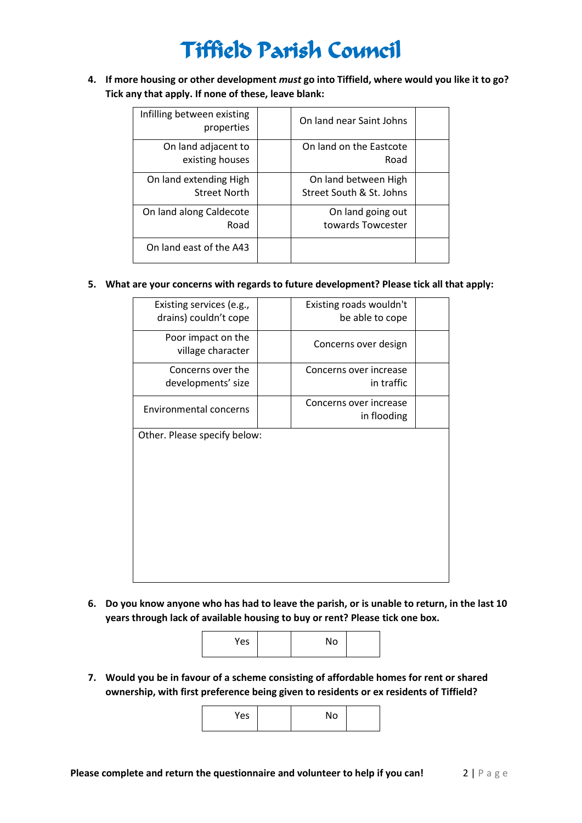**4. If more housing or other development** *must* **go into Tiffield, where would you like it to go? Tick any that apply. If none of these, leave blank:**

| Infilling between existing<br>properties      | On land near Saint Johns                         |  |
|-----------------------------------------------|--------------------------------------------------|--|
| On land adjacent to<br>existing houses        | On land on the Eastcote<br>Road                  |  |
| On land extending High<br><b>Street North</b> | On land between High<br>Street South & St. Johns |  |
| On land along Caldecote<br>Road               | On land going out<br>towards Towcester           |  |
| On land east of the A43                       |                                                  |  |

#### **5. What are your concerns with regards to future development? Please tick all that apply:**

| Existing services (e.g.,<br>drains) couldn't cope | Existing roads wouldn't<br>be able to cope |
|---------------------------------------------------|--------------------------------------------|
| Poor impact on the<br>village character           | Concerns over design                       |
| Concerns over the<br>developments' size           | Concerns over increase<br>in traffic       |
| <b>Environmental concerns</b>                     | Concerns over increase<br>in flooding      |
| Other. Please specify below:                      |                                            |

**6. Do you know anyone who has had to leave the parish, or is unable to return, in the last 10 years through lack of available housing to buy or rent? Please tick one box.**



**7. Would you be in favour of a scheme consisting of affordable homes for rent or shared ownership, with first preference being given to residents or ex residents of Tiffield?**

| Yes | No |  |
|-----|----|--|
|     |    |  |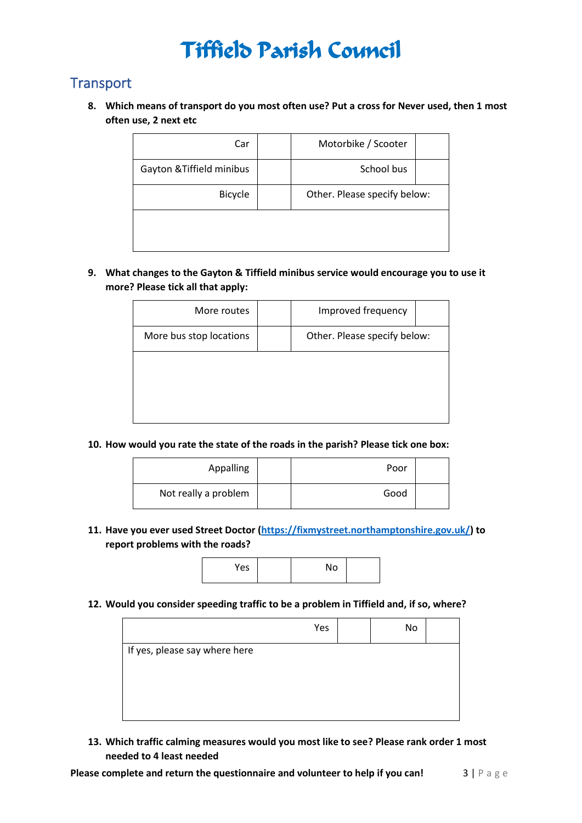### **Transport**

**8. Which means of transport do you most often use? Put a cross for Never used, then 1 most often use, 2 next etc**

| Car                       | Motorbike / Scooter          |  |  |
|---------------------------|------------------------------|--|--|
| Gayton & Tiffield minibus | School bus                   |  |  |
| <b>Bicycle</b>            | Other. Please specify below: |  |  |
|                           |                              |  |  |
|                           |                              |  |  |

**9. What changes to the Gayton & Tiffield minibus service would encourage you to use it more? Please tick all that apply:**

| More routes             | Improved frequency           |  |
|-------------------------|------------------------------|--|
| More bus stop locations | Other. Please specify below: |  |
|                         |                              |  |
|                         |                              |  |
|                         |                              |  |

**10. How would you rate the state of the roads in the parish? Please tick one box:**

| Appalling            | Poor |  |
|----------------------|------|--|
| Not really a problem | Good |  |

**11. Have you ever used Street Doctor [\(https://fixmystreet.northamptonshire.gov.uk/\)](https://fixmystreet.northamptonshire.gov.uk/) to report problems with the roads?**



**12. Would you consider speeding traffic to be a problem in Tiffield and, if so, where?**

|                               | Yes | No |  |
|-------------------------------|-----|----|--|
| If yes, please say where here |     |    |  |
|                               |     |    |  |

**13. Which traffic calming measures would you most like to see? Please rank order 1 most needed to 4 least needed**

**Please complete and return the questionnaire and volunteer to help if you can! <b>3** | P a g e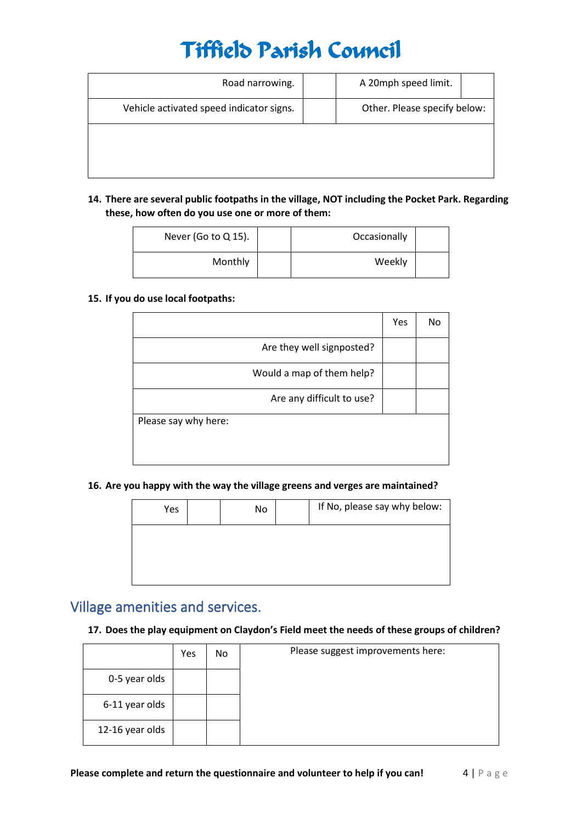| Road narrowing.                          | A 20mph speed limit.         |  |
|------------------------------------------|------------------------------|--|
| Vehicle activated speed indicator signs. | Other. Please specify below: |  |
|                                          |                              |  |
|                                          |                              |  |

**14. There are several public footpaths in the village, NOT including the Pocket Park. Regarding these, how often do you use one or more of them:**

| Occasionally |         | Never (Go to $Q$ 15). |
|--------------|---------|-----------------------|
| Weekly       | Monthly |                       |

#### **15. If you do use local footpaths:**

|                           | Yes | No |
|---------------------------|-----|----|
| Are they well signposted? |     |    |
| Would a map of them help? |     |    |
| Are any difficult to use? |     |    |
| Please say why here:      |     |    |
|                           |     |    |
|                           |     |    |

**16. Are you happy with the way the village greens and verges are maintained?**

| Yes | No | If No, please say why below: |
|-----|----|------------------------------|
|     |    |                              |
|     |    |                              |
|     |    |                              |

## Village amenities and services.

#### **17. Does the play equipment on Claydon's Field meet the needs of these groups of children?**

|                 | Yes | No | Please suggest improvements here: |
|-----------------|-----|----|-----------------------------------|
| 0-5 year olds   |     |    |                                   |
| 6-11 year olds  |     |    |                                   |
| 12-16 year olds |     |    |                                   |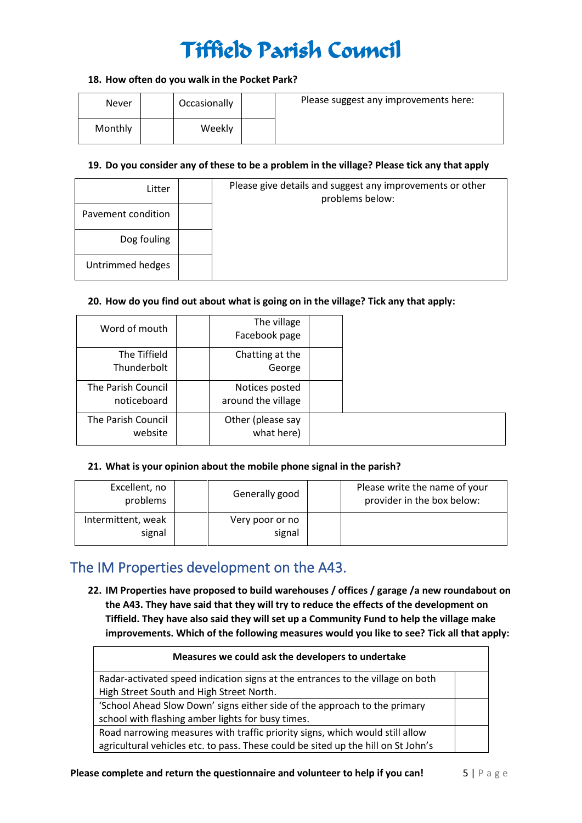#### **18. How often do you walk in the Pocket Park?**

| Never   | Occasionally | Please suggest any improvements here: |
|---------|--------------|---------------------------------------|
| Monthly | Weekly       |                                       |

#### **19. Do you consider any of these to be a problem in the village? Please tick any that apply**

| Litter             | Please give details and suggest any improvements or other<br>problems below: |
|--------------------|------------------------------------------------------------------------------|
| Pavement condition |                                                                              |
| Dog fouling        |                                                                              |
| Untrimmed hedges   |                                                                              |

#### **20. How do you find out about what is going on in the village? Tick any that apply:**

| Word of mouth                     | The village<br>Facebook page         |  |
|-----------------------------------|--------------------------------------|--|
| The Tiffield<br>Thunderbolt       | Chatting at the<br>George            |  |
| The Parish Council<br>noticeboard | Notices posted<br>around the village |  |
| The Parish Council<br>website     | Other (please say<br>what here)      |  |

#### **21. What is your opinion about the mobile phone signal in the parish?**

| Excellent, no<br>problems    | Generally good            | Please write the name of your<br>provider in the box below: |
|------------------------------|---------------------------|-------------------------------------------------------------|
| Intermittent, weak<br>signal | Very poor or no<br>signal |                                                             |

### The IM Properties development on the A43.

**22. IM Properties have proposed to build warehouses / offices / garage /a new roundabout on the A43. They have said that they will try to reduce the effects of the development on Tiffield. They have also said they will set up a Community Fund to help the village make improvements. Which of the following measures would you like to see? Tick all that apply:**

| Measures we could ask the developers to undertake                                 |  |
|-----------------------------------------------------------------------------------|--|
| Radar-activated speed indication signs at the entrances to the village on both    |  |
| High Street South and High Street North.                                          |  |
| 'School Ahead Slow Down' signs either side of the approach to the primary         |  |
| school with flashing amber lights for busy times.                                 |  |
| Road narrowing measures with traffic priority signs, which would still allow      |  |
| agricultural vehicles etc. to pass. These could be sited up the hill on St John's |  |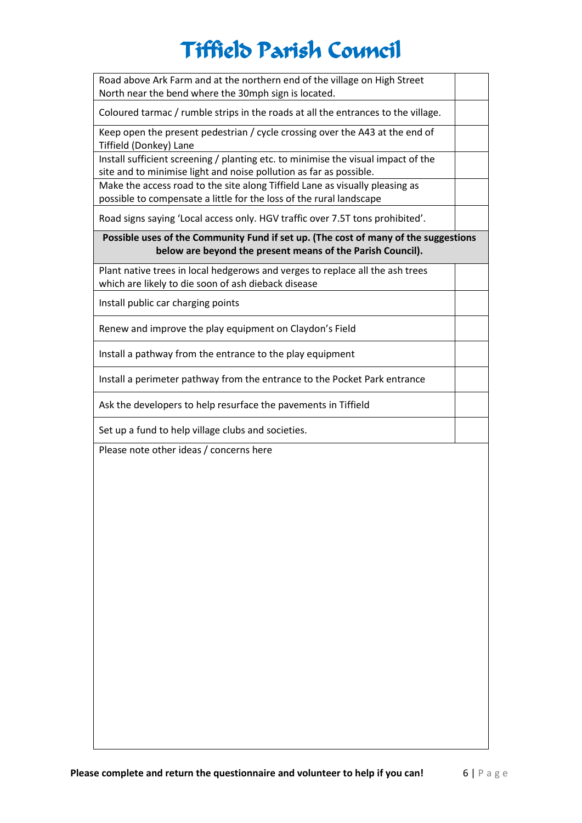| Road above Ark Farm and at the northern end of the village on High Street<br>North near the bend where the 30mph sign is located.                       |  |
|---------------------------------------------------------------------------------------------------------------------------------------------------------|--|
| Coloured tarmac / rumble strips in the roads at all the entrances to the village.                                                                       |  |
| Keep open the present pedestrian / cycle crossing over the A43 at the end of<br>Tiffield (Donkey) Lane                                                  |  |
| Install sufficient screening / planting etc. to minimise the visual impact of the<br>site and to minimise light and noise pollution as far as possible. |  |
| Make the access road to the site along Tiffield Lane as visually pleasing as<br>possible to compensate a little for the loss of the rural landscape     |  |
| Road signs saying 'Local access only. HGV traffic over 7.5T tons prohibited'.                                                                           |  |
| Possible uses of the Community Fund if set up. (The cost of many of the suggestions<br>below are beyond the present means of the Parish Council).       |  |
| Plant native trees in local hedgerows and verges to replace all the ash trees<br>which are likely to die soon of ash dieback disease                    |  |
| Install public car charging points                                                                                                                      |  |
| Renew and improve the play equipment on Claydon's Field                                                                                                 |  |
| Install a pathway from the entrance to the play equipment                                                                                               |  |
| Install a perimeter pathway from the entrance to the Pocket Park entrance                                                                               |  |
| Ask the developers to help resurface the pavements in Tiffield                                                                                          |  |
| Set up a fund to help village clubs and societies.                                                                                                      |  |
| Please note other ideas / concerns here                                                                                                                 |  |
|                                                                                                                                                         |  |
|                                                                                                                                                         |  |
|                                                                                                                                                         |  |
|                                                                                                                                                         |  |
|                                                                                                                                                         |  |
|                                                                                                                                                         |  |
|                                                                                                                                                         |  |
|                                                                                                                                                         |  |
|                                                                                                                                                         |  |
|                                                                                                                                                         |  |
|                                                                                                                                                         |  |
|                                                                                                                                                         |  |
|                                                                                                                                                         |  |

 $\overline{\phantom{a}}$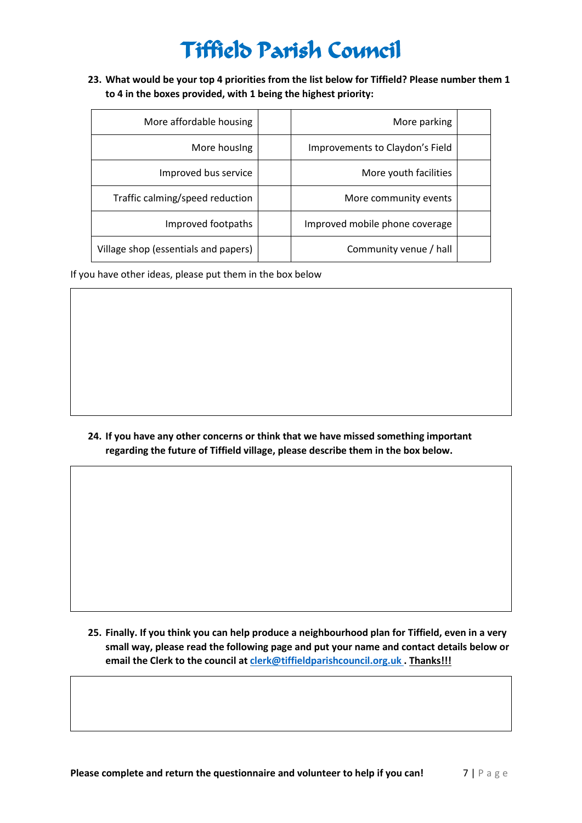**23. What would be your top 4 priorities from the list below for Tiffield? Please number them 1 to 4 in the boxes provided, with 1 being the highest priority:**

| More affordable housing              | More parking                    |  |
|--------------------------------------|---------------------------------|--|
| More housing                         | Improvements to Claydon's Field |  |
| Improved bus service                 | More youth facilities           |  |
| Traffic calming/speed reduction      | More community events           |  |
| Improved footpaths                   | Improved mobile phone coverage  |  |
| Village shop (essentials and papers) | Community venue / hall          |  |

If you have other ideas, please put them in the box below

**24. If you have any other concerns or think that we have missed something important regarding the future of Tiffield village, please describe them in the box below.**

**25. Finally. If you think you can help produce a neighbourhood plan for Tiffield, even in a very small way, please read the following page and put your name and contact details below or email the Clerk to the council at [clerk@tiffieldparishcouncil.org.uk](mailto:clerk@tiffieldparishcouncil.org.uk) . Thanks!!!**